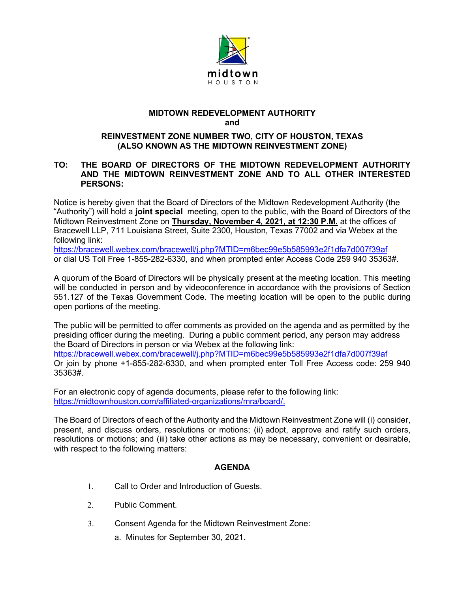

## **MIDTOWN REDEVELOPMENT AUTHORITY and**

## **REINVESTMENT ZONE NUMBER TWO, CITY OF HOUSTON, TEXAS (ALSO KNOWN AS THE MIDTOWN REINVESTMENT ZONE)**

## **TO: THE BOARD OF DIRECTORS OF THE MIDTOWN REDEVELOPMENT AUTHORITY AND THE MIDTOWN REINVESTMENT ZONE AND TO ALL OTHER INTERESTED PERSONS:**

Notice is hereby given that the Board of Directors of the Midtown Redevelopment Authority (the "Authority") will hold a **joint special** meeting, open to the public, with the Board of Directors of the Midtown Reinvestment Zone on **Thursday, November 4, 2021, at 12:30 P.M.** at the offices of Bracewell LLP, 711 Louisiana Street, Suite 2300, Houston, Texas 77002 and via Webex at the following link:

<https://bracewell.webex.com/bracewell/j.php?MTID=m6bec99e5b585993e2f1dfa7d007f39af> or dial US Toll Free 1-855-282-6330, and when prompted enter Access Code 259 940 35363#.

A quorum of the Board of Directors will be physically present at the meeting location. This meeting will be conducted in person and by videoconference in accordance with the provisions of Section 551.127 of the Texas Government Code. The meeting location will be open to the public during open portions of the meeting.

The public will be permitted to offer comments as provided on the agenda and as permitted by the presiding officer during the meeting. During a public comment period, any person may address the Board of Directors in person or via Webex at the following link: <https://bracewell.webex.com/bracewell/j.php?MTID=m6bec99e5b585993e2f1dfa7d007f39af> Or join by phone +1-855-282-6330, and when prompted enter Toll Free Access code: 259 940 35363#.

For an electronic copy of agenda documents, please refer to the following link: [https://midtownhouston.com/affiliated-organizations/mra/board/.](https://midtownhouston.com/affiliated-organizations/mra/board/)

The Board of Directors of each of the Authority and the Midtown Reinvestment Zone will (i) consider, present, and discuss orders, resolutions or motions; (ii) adopt, approve and ratify such orders, resolutions or motions; and (iii) take other actions as may be necessary, convenient or desirable, with respect to the following matters:

## **AGENDA**

- 1. Call to Order and Introduction of Guests.
- 2. Public Comment.
- 3. Consent Agenda for the Midtown Reinvestment Zone:
	- a. Minutes for September 30, 2021.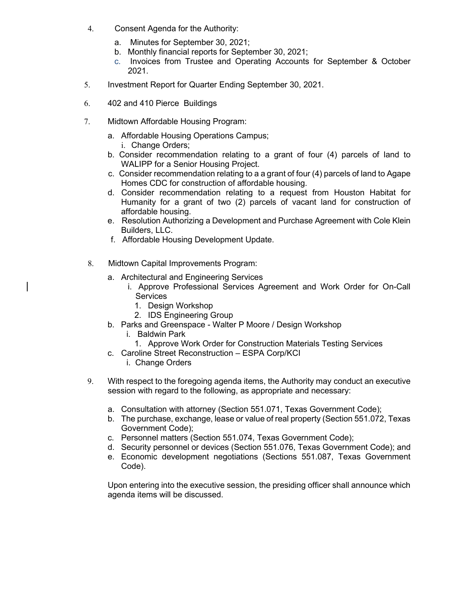- 4. Consent Agenda for the Authority:
	- a. Minutes for September 30, 2021;
	- b. Monthly financial reports for September 30, 2021;
	- c. Invoices from Trustee and Operating Accounts for September & October 2021.
- 5. Investment Report for Quarter Ending September 30, 2021.
- 6. 402 and 410 Pierce Buildings
- 7. Midtown Affordable Housing Program:
	- a. Affordable Housing Operations Campus; i. Change Orders;
	- b. Consider recommendation relating to a grant of four (4) parcels of land to WALIPP for a Senior Housing Project.
	- c. Consider recommendation relating to a a grant of four (4) parcels of land to Agape Homes CDC for construction of affordable housing.
	- d. Consider recommendation relating to a request from Houston Habitat for Humanity for a grant of two (2) parcels of vacant land for construction of affordable housing.
	- e. Resolution Authorizing a Development and Purchase Agreement with Cole Klein Builders, LLC.
	- f. Affordable Housing Development Update.
- 8. Midtown Capital Improvements Program:
	- a. Architectural and Engineering Services
		- i. Approve Professional Services Agreement and Work Order for On-Call **Services** 
			- 1. Design Workshop
			- 2. IDS Engineering Group
	- b. Parks and Greenspace Walter P Moore / Design Workshop
		- i. Baldwin Park
		- 1. Approve Work Order for Construction Materials Testing Services
	- c. Caroline Street Reconstruction ESPA Corp/KCI
		- i. Change Orders
- 9. With respect to the foregoing agenda items, the Authority may conduct an executive session with regard to the following, as appropriate and necessary:
	- a. Consultation with attorney (Section 551.071, Texas Government Code);
	- b. The purchase, exchange, lease or value of real property (Section 551.072, Texas Government Code);
	- c. Personnel matters (Section 551.074, Texas Government Code);
	- d. Security personnel or devices (Section 551.076, Texas Government Code); and
	- e. Economic development negotiations (Sections 551.087, Texas Government Code).

Upon entering into the executive session, the presiding officer shall announce which agenda items will be discussed.